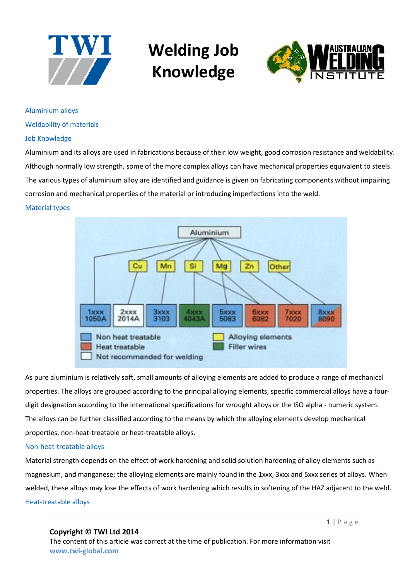



## Aluminium alloys Weldability of materials

#### Job Knowledge

Aluminium and its alloys are used in fabrications because of their low weight, good corrosion resistance and weldability. Although normally low strength, some of the more complex alloys can have mechanical properties equivalent to steels. The various types of aluminium alloy are identified and guidance is given on fabricating components without impairing corrosion and mechanical properties of the material or introducing imperfections into the weld.

#### Material types



As pure aluminium is relatively soft, small amounts of alloying elements are added to produce a range of mechanical properties. The alloys are grouped according to the principal alloying elements, specific commercial alloys have a fourdigit designation according to the international specifications for wrought alloys or the ISO alpha - numeric system. The alloys can be further classified according to the means by which the alloying elements develop mechanical properties, non-heat-treatable or heat-treatable alloys.

#### Non-heat-treatable alloys

Material strength depends on the effect of work hardening and solid solution hardening of alloy elements such as magnesium, and manganese; the alloying elements are mainly found in the 1xxx, 3xxx and 5xxx series of alloys. When welded, these alloys may lose the effects of work hardening which results in softening of the HAZ adjacent to the weld. Heat-treatable alloys

# **Copyright © TWI Ltd 2014**

The content of this article was correct at the time of publication. For more information visit **www.twi-global.com**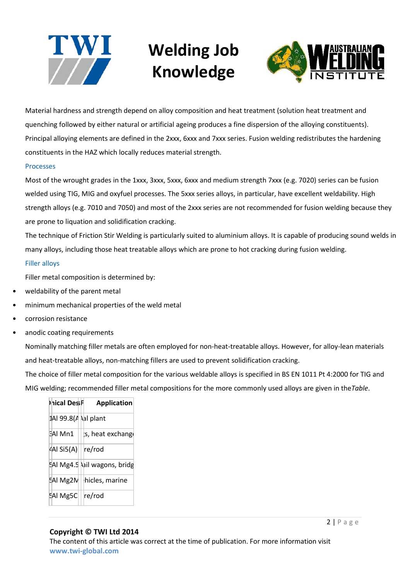



Material hardness and strength depend on alloy composition and heat treatment (solution heat treatment and quenching followed by either natural or artificial ageing produces a fine dispersion of the alloying constituents). Principal alloying elements are defined in the 2xxx, 6xxx and 7xxx series. Fusion welding redistributes the hardening constituents in the HAZ which locally reduces material strength.

#### Processes

Most of the wrought grades in the 1xxx, 3xxx, 5xxx, 6xxx and medium strength 7xxx (e.g. 7020) series can be fusion welded using TIG, MIG and oxyfuel processes. The 5xxx series alloys, in particular, have excellent weldability. High strength alloys (e.g. 7010 and 7050) and most of the 2xxx series are not recommended for fusion welding because they are prone to liquation and solidification cracking.

The technique of Friction Stir Welding is particularly suited to aluminium alloys. It is capable of producing sound welds in many alloys, including those heat treatable alloys which are prone to hot cracking during fusion welding.

### Filler alloys

Filler metal composition is determined by:

- weldability of the parent metal
- minimum mechanical properties of the weld metal
- corrosion resistance
- anodic coating requirements

Nominally matching filler metals are often employed for non-heat-treatable alloys. However, for alloy-lean materials and heat-treatable alloys, non-matching fillers are used to prevent solidification cracking.

The choice of filler metal composition for the various weldable alloys is specified in BS EN 1011 Pt 4:2000 for TIG and MIG welding; recommended filler metal compositions for the more commonly used alloys are given in the*Table*.

| )hical DesะFl        | <b>Application</b>           |
|----------------------|------------------------------|
| 1Al 99.8(A \al plant |                              |
| 3Al Mn1              | s, heat exchang              |
| 4AI Si5(A)           | re/rod                       |
|                      | 5Al Mg4.5 \bil wagons, bridg |
| 5AI Mg2M             | hicles, marine               |
| 5AI Mg5C             | re/rod                       |

### **Copyright © TWI Ltd 2014**

The content of this article was correct at the time of publication. For more information visit **www.twi-global.com**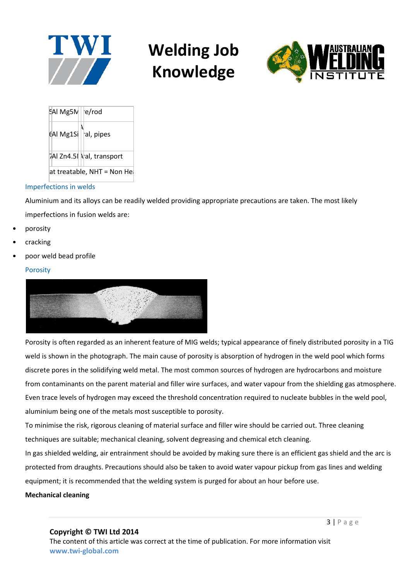





#### Imperfections in welds

Aluminium and its alloys can be readily welded providing appropriate precautions are taken. The most likely imperfections in fusion welds are:

- porosity
- cracking
- poor weld bead profile

#### Porosity



Porosity is often regarded as an inherent feature of MIG welds; typical appearance of finely distributed porosity in a TIG weld is shown in the photograph. The main cause of porosity is absorption of hydrogen in the weld pool which forms discrete pores in the solidifying weld metal. The most common sources of hydrogen are hydrocarbons and moisture from contaminants on the parent material and filler wire surfaces, and water vapour from the shielding gas atmosphere. Even trace levels of hydrogen may exceed the threshold concentration required to nucleate bubbles in the weld pool, aluminium being one of the metals most susceptible to porosity.

To minimise the risk, rigorous cleaning of material surface and filler wire should be carried out. Three cleaning techniques are suitable; mechanical cleaning, solvent degreasing and chemical etch cleaning.

In gas shielded welding, air entrainment should be avoided by making sure there is an efficient gas shield and the arc is protected from draughts. Precautions should also be taken to avoid water vapour pickup from gas lines and welding equipment; it is recommended that the welding system is purged for about an hour before use.

**Mechanical cleaning**

The content of this article was correct at the time of publication. For more information visit **www.twi-global.com**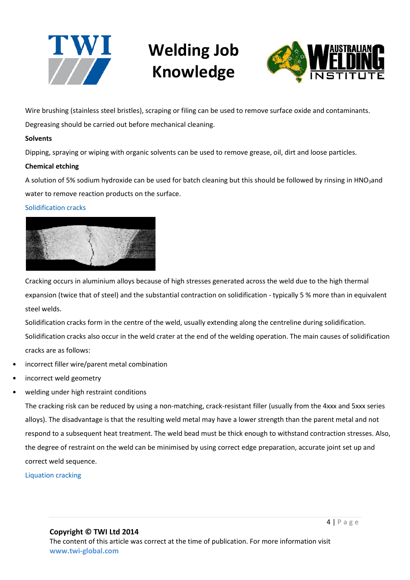



Wire brushing (stainless steel bristles), scraping or filing can be used to remove surface oxide and contaminants.

Degreasing should be carried out before mechanical cleaning.

### **Solvents**

Dipping, spraying or wiping with organic solvents can be used to remove grease, oil, dirt and loose particles.

### **Chemical etching**

A solution of 5% sodium hydroxide can be used for batch cleaning but this should be followed by rinsing in HNO3and water to remove reaction products on the surface.

### Solidification cracks



Cracking occurs in aluminium alloys because of high stresses generated across the weld due to the high thermal expansion (twice that of steel) and the substantial contraction on solidification - typically 5 % more than in equivalent steel welds.

Solidification cracks form in the centre of the weld, usually extending along the centreline during solidification. Solidification cracks also occur in the weld crater at the end of the welding operation. The main causes of solidification cracks are as follows:

- incorrect filler wire/parent metal combination
- incorrect weld geometry
- welding under high restraint conditions

The cracking risk can be reduced by using a non-matching, crack-resistant filler (usually from the 4xxx and 5xxx series alloys). The disadvantage is that the resulting weld metal may have a lower strength than the parent metal and not respond to a subsequent heat treatment. The weld bead must be thick enough to withstand contraction stresses. Also, the degree of restraint on the weld can be minimised by using correct edge preparation, accurate joint set up and correct weld sequence.

Liquation cracking